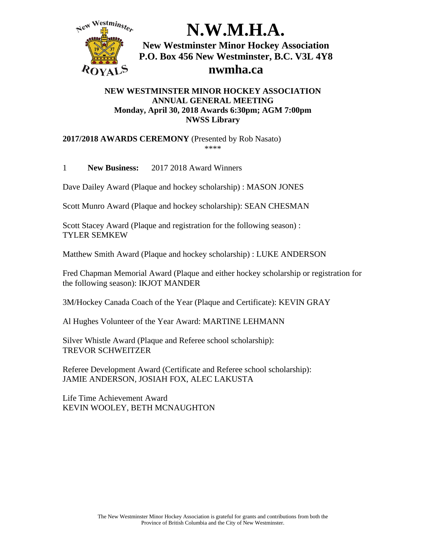

#### **NEW WESTMINSTER MINOR HOCKEY ASSOCIATION ANNUAL GENERAL MEETING Monday, April 30, 2018 Awards 6:30pm; AGM 7:00pm NWSS Library**

**2017/2018 AWARDS CEREMONY** (Presented by Rob Nasato) \*\*\*\*

1 **New Business:** 2017 2018 Award Winners

Dave Dailey Award (Plaque and hockey scholarship) : MASON JONES

Scott Munro Award (Plaque and hockey scholarship): SEAN CHESMAN

Scott Stacey Award (Plaque and registration for the following season) : TYLER SEMKEW

Matthew Smith Award (Plaque and hockey scholarship) : LUKE ANDERSON

Fred Chapman Memorial Award (Plaque and either hockey scholarship or registration for the following season): IKJOT MANDER

3M/Hockey Canada Coach of the Year (Plaque and Certificate): KEVIN GRAY

Al Hughes Volunteer of the Year Award: MARTINE LEHMANN

Silver Whistle Award (Plaque and Referee school scholarship): TREVOR SCHWEITZER

Referee Development Award (Certificate and Referee school scholarship): JAMIE ANDERSON, JOSIAH FOX, ALEC LAKUSTA

Life Time Achievement Award KEVIN WOOLEY, BETH MCNAUGHTON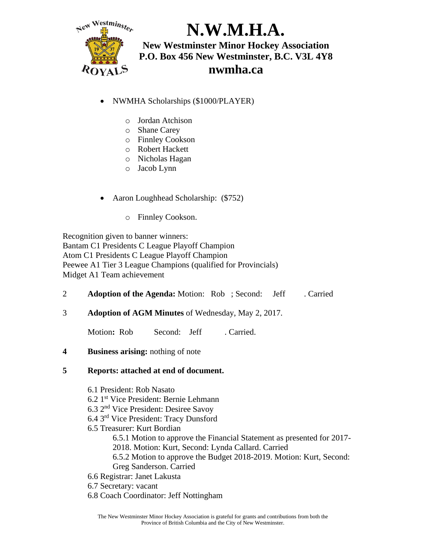

- NWMHA Scholarships (\$1000/PLAYER)
	- o Jordan Atchison
	- o Shane Carey
	- o Finnley Cookson
	- o Robert Hackett
	- o Nicholas Hagan
	- o Jacob Lynn
- Aaron Loughhead Scholarship: (\$752)
	- o Finnley Cookson.

Recognition given to banner winners: Bantam C1 Presidents C League Playoff Champion Atom C1 Presidents C League Playoff Champion Peewee A1 Tier 3 League Champions (qualified for Provincials) Midget A1 Team achievement

| <b>Adoption of the Agenda:</b> Motion: Rob; Second: Jeff |  | . Carried |
|----------------------------------------------------------|--|-----------|
|                                                          |  |           |

3 **Adoption of AGM Minutes** of Wednesday, May 2, 2017.

Motion: Rob **Second: Jeff** . Carried.

#### **4 Business arising:** nothing of note

#### **5 Reports: attached at end of document.**

6.1 President: Rob Nasato 6.2 1st Vice President: Bernie Lehmann 6.3 2nd Vice President: Desiree Savoy 6.4 3rd Vice President: Tracy Dunsford 6.5 Treasurer: Kurt Bordian 6.5.1 Motion to approve the Financial Statement as presented for 2017- 2018. Motion: Kurt, Second: Lynda Callard. Carried 6.5.2 Motion to approve the Budget 2018-2019. Motion: Kurt, Second: Greg Sanderson. Carried 6.6 Registrar: Janet Lakusta 6.7 Secretary: vacant 6.8 Coach Coordinator: Jeff Nottingham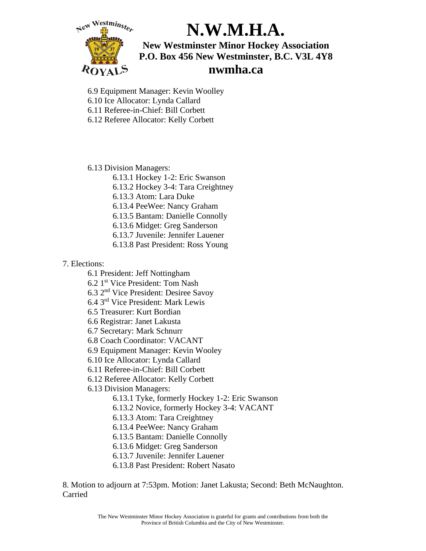

6.9 Equipment Manager: Kevin Woolley 6.10 Ice Allocator: Lynda Callard

6.11 Referee-in-Chief: Bill Corbett

6.12 Referee Allocator: Kelly Corbett

6.13 Division Managers:

6.13.1 Hockey 1-2: Eric Swanson

6.13.2 Hockey 3-4: Tara Creightney

6.13.3 Atom: Lara Duke

6.13.4 PeeWee: Nancy Graham

6.13.5 Bantam: Danielle Connolly

6.13.6 Midget: Greg Sanderson

- 6.13.7 Juvenile: Jennifer Lauener
- 6.13.8 Past President: Ross Young

### 7. Elections:

6.1 President: Jeff Nottingham

6.2 1st Vice President: Tom Nash

6.3 2nd Vice President: Desiree Savoy

6.4 3rd Vice President: Mark Lewis

6.5 Treasurer: Kurt Bordian

6.6 Registrar: Janet Lakusta

6.7 Secretary: Mark Schnurr

6.8 Coach Coordinator: VACANT

6.9 Equipment Manager: Kevin Wooley

6.10 Ice Allocator: Lynda Callard

6.11 Referee-in-Chief: Bill Corbett

6.12 Referee Allocator: Kelly Corbett

6.13 Division Managers:

6.13.1 Tyke, formerly Hockey 1-2: Eric Swanson

6.13.2 Novice, formerly Hockey 3-4: VACANT

6.13.3 Atom: Tara Creightney

6.13.4 PeeWee: Nancy Graham

6.13.5 Bantam: Danielle Connolly

6.13.6 Midget: Greg Sanderson

6.13.7 Juvenile: Jennifer Lauener

6.13.8 Past President: Robert Nasato

8. Motion to adjourn at 7:53pm. Motion: Janet Lakusta; Second: Beth McNaughton. Carried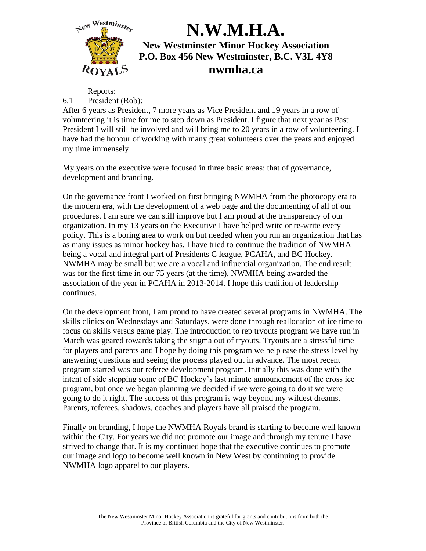

### Reports:

### 6.1 President (Rob):

After 6 years as President, 7 more years as Vice President and 19 years in a row of volunteering it is time for me to step down as President. I figure that next year as Past President I will still be involved and will bring me to 20 years in a row of volunteering. I have had the honour of working with many great volunteers over the years and enjoyed my time immensely.

My years on the executive were focused in three basic areas: that of governance, development and branding.

On the governance front I worked on first bringing NWMHA from the photocopy era to the modern era, with the development of a web page and the documenting of all of our procedures. I am sure we can still improve but I am proud at the transparency of our organization. In my 13 years on the Executive I have helped write or re-write every policy. This is a boring area to work on but needed when you run an organization that has as many issues as minor hockey has. I have tried to continue the tradition of NWMHA being a vocal and integral part of Presidents C league, PCAHA, and BC Hockey. NWMHA may be small but we are a vocal and influential organization. The end result was for the first time in our 75 years (at the time), NWMHA being awarded the association of the year in PCAHA in 2013-2014. I hope this tradition of leadership continues.

On the development front, I am proud to have created several programs in NWMHA. The skills clinics on Wednesdays and Saturdays, were done through reallocation of ice time to focus on skills versus game play. The introduction to rep tryouts program we have run in March was geared towards taking the stigma out of tryouts. Tryouts are a stressful time for players and parents and I hope by doing this program we help ease the stress level by answering questions and seeing the process played out in advance. The most recent program started was our referee development program. Initially this was done with the intent of side stepping some of BC Hockey's last minute announcement of the cross ice program, but once we began planning we decided if we were going to do it we were going to do it right. The success of this program is way beyond my wildest dreams. Parents, referees, shadows, coaches and players have all praised the program.

Finally on branding, I hope the NWMHA Royals brand is starting to become well known within the City. For years we did not promote our image and through my tenure I have strived to change that. It is my continued hope that the executive continues to promote our image and logo to become well known in New West by continuing to provide NWMHA logo apparel to our players.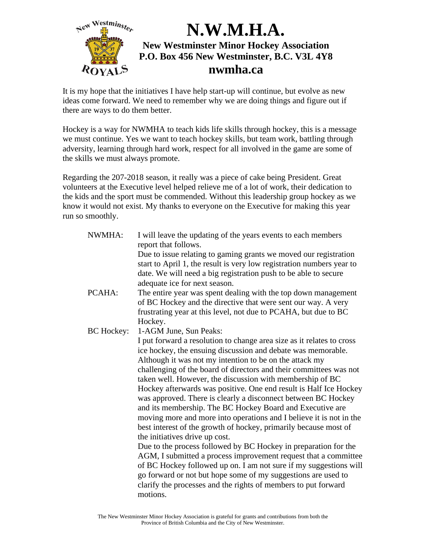

It is my hope that the initiatives I have help start-up will continue, but evolve as new ideas come forward. We need to remember why we are doing things and figure out if there are ways to do them better.

Hockey is a way for NWMHA to teach kids life skills through hockey, this is a message we must continue. Yes we want to teach hockey skills, but team work, battling through adversity, learning through hard work, respect for all involved in the game are some of the skills we must always promote.

Regarding the 207-2018 season, it really was a piece of cake being President. Great volunteers at the Executive level helped relieve me of a lot of work, their dedication to the kids and the sport must be commended. Without this leadership group hockey as we know it would not exist. My thanks to everyone on the Executive for making this year run so smoothly.

| NWMHA:            | I will leave the updating of the years events to each members<br>report that follows.                                                     |
|-------------------|-------------------------------------------------------------------------------------------------------------------------------------------|
|                   | Due to issue relating to gaming grants we moved our registration<br>start to April 1, the result is very low registration numbers year to |
|                   | date. We will need a big registration push to be able to secure                                                                           |
|                   | adequate ice for next season.                                                                                                             |
| PCAHA:            | The entire year was spent dealing with the top down management                                                                            |
|                   | of BC Hockey and the directive that were sent our way. A very                                                                             |
|                   | frustrating year at this level, not due to PCAHA, but due to BC                                                                           |
|                   | Hockey.                                                                                                                                   |
| <b>BC</b> Hockey: | 1-AGM June, Sun Peaks:                                                                                                                    |
|                   | I put forward a resolution to change area size as it relates to cross                                                                     |
|                   | ice hockey, the ensuing discussion and debate was memorable.                                                                              |
|                   | Although it was not my intention to be on the attack my                                                                                   |
|                   | challenging of the board of directors and their committees was not                                                                        |
|                   | taken well. However, the discussion with membership of BC                                                                                 |
|                   | Hockey afterwards was positive. One end result is Half Ice Hockey                                                                         |
|                   | was approved. There is clearly a disconnect between BC Hockey                                                                             |
|                   | and its membership. The BC Hockey Board and Executive are                                                                                 |
|                   | moving more and more into operations and I believe it is not in the                                                                       |
|                   | best interest of the growth of hockey, primarily because most of                                                                          |
|                   | the initiatives drive up cost.                                                                                                            |
|                   | Due to the process followed by BC Hockey in preparation for the                                                                           |
|                   | AGM, I submitted a process improvement request that a committee                                                                           |
|                   | of BC Hockey followed up on. I am not sure if my suggestions will                                                                         |
|                   |                                                                                                                                           |
|                   | go forward or not but hope some of my suggestions are used to                                                                             |
|                   | clarify the processes and the rights of members to put forward                                                                            |
|                   | motions.                                                                                                                                  |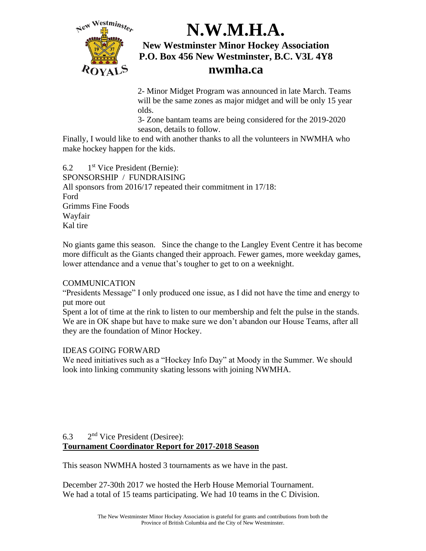

2- Minor Midget Program was announced in late March. Teams will be the same zones as major midget and will be only 15 year olds.

3- Zone bantam teams are being considered for the 2019-2020 season, details to follow.

Finally, I would like to end with another thanks to all the volunteers in NWMHA who make hockey happen for the kids.

 $6.2$  1<sup>st</sup> Vice President (Bernie): SPONSORSHIP / FUNDRAISING All sponsors from 2016/17 repeated their commitment in 17/18: Ford Grimms Fine Foods Wayfair Kal tire

No giants game this season. Since the change to the Langley Event Centre it has become more difficult as the Giants changed their approach. Fewer games, more weekday games, lower attendance and a venue that's tougher to get to on a weeknight.

#### COMMUNICATION

"Presidents Message" I only produced one issue, as I did not have the time and energy to put more out

Spent a lot of time at the rink to listen to our membership and felt the pulse in the stands. We are in OK shape but have to make sure we don't abandon our House Teams, after all they are the foundation of Minor Hockey.

#### IDEAS GOING FORWARD

We need initiatives such as a "Hockey Info Day" at Moody in the Summer. We should look into linking community skating lessons with joining NWMHA.

#### 6.3 2<sup>nd</sup> Vice President (Desiree): **Tournament Coordinator Report for 2017-2018 Season**

This season NWMHA hosted 3 tournaments as we have in the past.

December 27-30th 2017 we hosted the Herb House Memorial Tournament. We had a total of 15 teams participating. We had 10 teams in the C Division.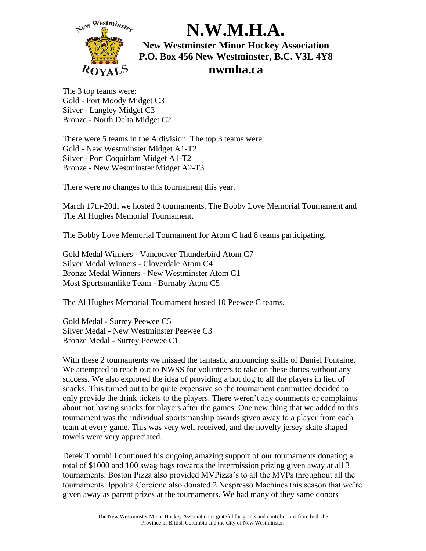

The 3 top teams were: Gold - Port Moody Midget C3 Silver - Langley Midget C3 Bronze - North Delta Midget C2

There were 5 teams in the A division. The top 3 teams were: Gold - New Westminster Midget A1-T2 Silver - Port Coquitlam Midget A1-T2 Bronze - New Westminster Midget A2-T3

There were no changes to this tournament this year.

March 17th-20th we hosted 2 tournaments. The Bobby Love Memorial Tournament and The Al Hughes Memorial Tournament.

The Bobby Love Memorial Tournament for Atom C had 8 teams participating.

Gold Medal Winners - Vancouver Thunderbird Atom C7 Silver Medal Winners - Cloverdale Atom C4 Bronze Medal Winners - New Westminster Atom C1 Most Sportsmanlike Team - Burnaby Atom C5

The Al Hughes Memorial Tournament hosted 10 Peewee C teams.

Gold Medal - Surrey Peewee C5 Silver Medal - New Westminster Peewee C3 Bronze Medal - Surrey Peewee C1

With these 2 tournaments we missed the fantastic announcing skills of Daniel Fontaine. We attempted to reach out to NWSS for volunteers to take on these duties without any success. We also explored the idea of providing a hot dog to all the players in lieu of snacks. This turned out to be quite expensive so the tournament committee decided to only provide the drink tickets to the players. There weren't any comments or complaints about not having snacks for players after the games. One new thing that we added to this tournament was the individual sportsmanship awards given away to a player from each team at every game. This was very well received, and the novelty jersey skate shaped towels were very appreciated.

Derek Thornhill continued his ongoing amazing support of our tournaments donating a total of \$1000 and 100 swag bags towards the intermission prizing given away at all 3 tournaments. Boston Pizza also provided MVPizza's to all the MVPs throughout all the tournaments. Ippolita Corcione also donated 2 Nespresso Machines this season that we're given away as parent prizes at the tournaments. We had many of they same donors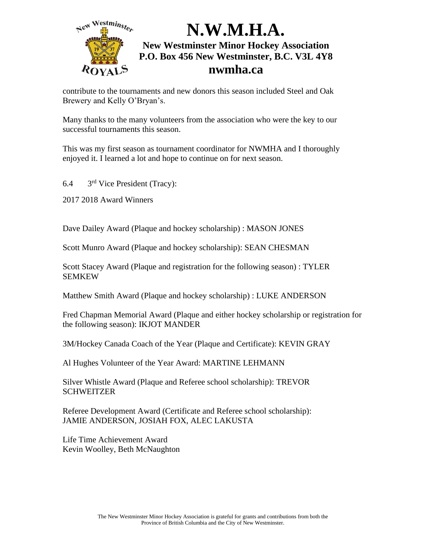

contribute to the tournaments and new donors this season included Steel and Oak Brewery and Kelly O'Bryan's.

Many thanks to the many volunteers from the association who were the key to our successful tournaments this season.

This was my first season as tournament coordinator for NWMHA and I thoroughly enjoyed it. I learned a lot and hope to continue on for next season.

6.4 3<sup>rd</sup> Vice President (Tracy):

2017 2018 Award Winners

Dave Dailey Award (Plaque and hockey scholarship) : MASON JONES

Scott Munro Award (Plaque and hockey scholarship): SEAN CHESMAN

Scott Stacey Award (Plaque and registration for the following season) : TYLER SEMKEW

Matthew Smith Award (Plaque and hockey scholarship) : LUKE ANDERSON

Fred Chapman Memorial Award (Plaque and either hockey scholarship or registration for the following season): IKJOT MANDER

3M/Hockey Canada Coach of the Year (Plaque and Certificate): KEVIN GRAY

Al Hughes Volunteer of the Year Award: MARTINE LEHMANN

Silver Whistle Award (Plaque and Referee school scholarship): TREVOR **SCHWEITZER** 

Referee Development Award (Certificate and Referee school scholarship): JAMIE ANDERSON, JOSIAH FOX, ALEC LAKUSTA

Life Time Achievement Award Kevin Woolley, Beth McNaughton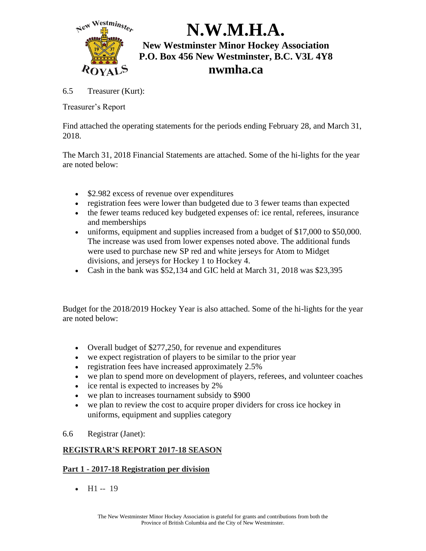

6.5 Treasurer (Kurt):

Treasurer's Report

Find attached the operating statements for the periods ending February 28, and March 31, 2018.

The March 31, 2018 Financial Statements are attached. Some of the hi-lights for the year are noted below:

- \$2.982 excess of revenue over expenditures
- registration fees were lower than budgeted due to 3 fewer teams than expected
- the fewer teams reduced key budgeted expenses of: ice rental, referees, insurance and memberships
- uniforms, equipment and supplies increased from a budget of \$17,000 to \$50,000. The increase was used from lower expenses noted above. The additional funds were used to purchase new SP red and white jerseys for Atom to Midget divisions, and jerseys for Hockey 1 to Hockey 4.
- Cash in the bank was \$52,134 and GIC held at March 31, 2018 was \$23,395

Budget for the 2018/2019 Hockey Year is also attached. Some of the hi-lights for the year are noted below:

- Overall budget of \$277,250, for revenue and expenditures
- we expect registration of players to be similar to the prior year
- registration fees have increased approximately 2.5%
- we plan to spend more on development of players, referees, and volunteer coaches
- ice rental is expected to increases by 2%
- we plan to increases tournament subsidy to \$900
- we plan to review the cost to acquire proper dividers for cross ice hockey in uniforms, equipment and supplies category
- 6.6 Registrar (Janet):

### **REGISTRAR'S REPORT 2017-18 SEASON**

### **Part 1 - 2017-18 Registration per division**

•  $H1 - 19$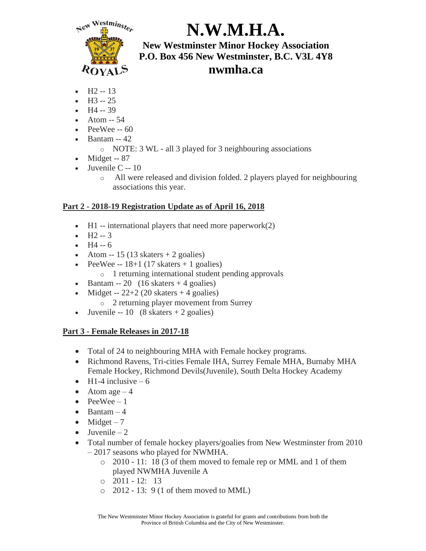

# **N.W.M.H.A.**

**New Westminster Minor Hockey Association P.O. Box 456 New Westminster, B.C. V3L 4Y8 nwmha.ca**

- $H2 13$
- $H3 25$
- $H4 39$
- Atom -- 54
- PeeWee -- 60
- Bantam -- 42
	- o NOTE: 3 WL all 3 played for 3 neighbouring associations
- Midget -- 87
- Juvenile  $C 10$ 
	- o All were released and division folded. 2 players played for neighbouring associations this year.

### **Part 2 - 2018-19 Registration Update as of April 16, 2018**

- H1 -- international players that need more paperwork $(2)$
- $H2 3$
- $H4 6$
- Atom  $-15$  (13 skaters  $+2$  goalies)
- PeeWee --  $18+1$  (17 skaters + 1 goalies)
	- o 1 returning international student pending approvals
- Bantam  $-20$  (16 skaters  $+4$  goalies)
- Midget --  $22+2$  (20 skaters + 4 goalies)
	- o 2 returning player movement from Surrey
- Juvenile -- 10  $(8 \text{ skaters} + 2 \text{ goals})$

### **Part 3 - Female Releases in 2017-18**

- Total of 24 to neighbouring MHA with Female hockey programs.
- Richmond Ravens, Tri-cities Female IHA, Surrey Female MHA, Burnaby MHA Female Hockey, Richmond Devils(Juvenile), South Delta Hockey Academy
- H1-4 inclusive  $-6$
- Atom age  $-4$
- $PeeWee-1$
- Bantam  $-4$
- Midget  $-7$
- $\bullet$  Juvenile 2
- Total number of female hockey players/goalies from New Westminster from 2010 – 2017 seasons who played for NWMHA.
	- o 2010 11: 18 (3 of them moved to female rep or MML and 1 of them played NWMHA Juvenile A
	- $\circ$  2011 12: 13
	- $\circ$  2012 13: 9 (1 of them moved to MML)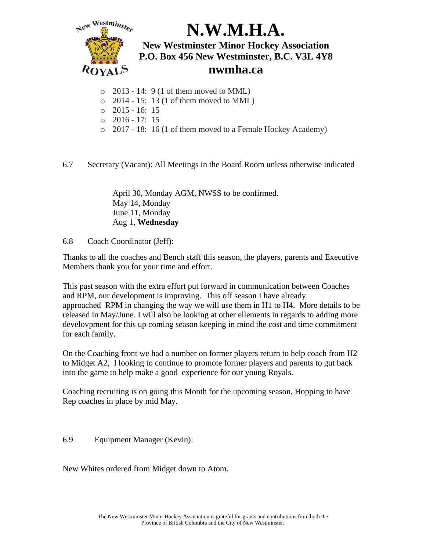

- $\circ$  2013 14: 9 (1 of them moved to MML)
- o 2014 15: 13 (1 of them moved to MML)
- o 2015 16: 15
- $\circ$  2016 17: 15
- o 2017 18: 16 (1 of them moved to a Female Hockey Academy)

6.7 Secretary (Vacant): All Meetings in the Board Room unless otherwise indicated

April 30, Monday AGM, NWSS to be confirmed. May 14, Monday June 11, Monday Aug 1, **Wednesday**

6.8 Coach Coordinator (Jeff):

Thanks to all the coaches and Bench staff this season, the players, parents and Executive Members thank you for your time and effort.

This past season with the extra effort put forward in communication between Coaches and RPM, our development is improving. This off season I have already approached RPM in changing the way we will use them in H1 to H4. More details to be released in May/June. I will also be looking at other ellements in regards to adding more develovpment for this up coming season keeping in mind the cost and time commitment for each family.

On the Coaching front we had a number on former players return to help coach from H2 to Midget A2, I looking to continue to promote former players and parents to gut back into the game to help make a good experience for our young Royals.

Coaching recruiting is on going this Month for the upcoming season, Hopping to have Rep coaches in place by mid May.

6.9 Equipment Manager (Kevin):

New Whites ordered from Midget down to Atom.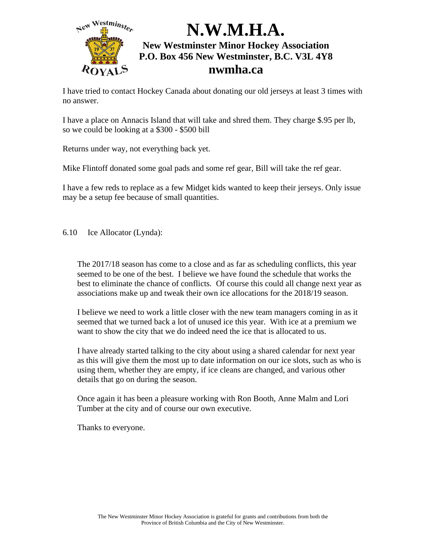

I have tried to contact Hockey Canada about donating our old jerseys at least 3 times with no answer.

I have a place on Annacis Island that will take and shred them. They charge \$.95 per lb, so we could be looking at a \$300 - \$500 bill

Returns under way, not everything back yet.

Mike Flintoff donated some goal pads and some ref gear, Bill will take the ref gear.

I have a few reds to replace as a few Midget kids wanted to keep their jerseys. Only issue may be a setup fee because of small quantities.

6.10 Ice Allocator (Lynda):

The 2017/18 season has come to a close and as far as scheduling conflicts, this year seemed to be one of the best. I believe we have found the schedule that works the best to eliminate the chance of conflicts. Of course this could all change next year as associations make up and tweak their own ice allocations for the 2018/19 season.

I believe we need to work a little closer with the new team managers coming in as it seemed that we turned back a lot of unused ice this year. With ice at a premium we want to show the city that we do indeed need the ice that is allocated to us.

I have already started talking to the city about using a shared calendar for next year as this will give them the most up to date information on our ice slots, such as who is using them, whether they are empty, if ice cleans are changed, and various other details that go on during the season.

Once again it has been a pleasure working with Ron Booth, Anne Malm and Lori Tumber at the city and of course our own executive.

Thanks to everyone.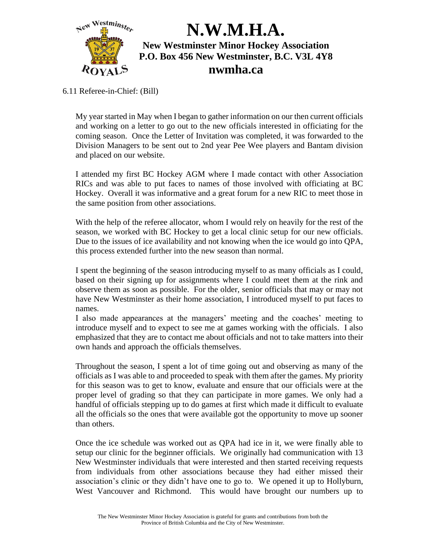

6.11 Referee-in-Chief: (Bill)

My year started in May when I began to gather information on our then current officials and working on a letter to go out to the new officials interested in officiating for the coming season. Once the Letter of Invitation was completed, it was forwarded to the Division Managers to be sent out to 2nd year Pee Wee players and Bantam division and placed on our website.

I attended my first BC Hockey AGM where I made contact with other Association RICs and was able to put faces to names of those involved with officiating at BC Hockey. Overall it was informative and a great forum for a new RIC to meet those in the same position from other associations.

With the help of the referee allocator, whom I would rely on heavily for the rest of the season, we worked with BC Hockey to get a local clinic setup for our new officials. Due to the issues of ice availability and not knowing when the ice would go into QPA, this process extended further into the new season than normal.

I spent the beginning of the season introducing myself to as many officials as I could, based on their signing up for assignments where I could meet them at the rink and observe them as soon as possible. For the older, senior officials that may or may not have New Westminster as their home association, I introduced myself to put faces to names.

I also made appearances at the managers' meeting and the coaches' meeting to introduce myself and to expect to see me at games working with the officials. I also emphasized that they are to contact me about officials and not to take matters into their own hands and approach the officials themselves.

Throughout the season, I spent a lot of time going out and observing as many of the officials as I was able to and proceeded to speak with them after the games. My priority for this season was to get to know, evaluate and ensure that our officials were at the proper level of grading so that they can participate in more games. We only had a handful of officials stepping up to do games at first which made it difficult to evaluate all the officials so the ones that were available got the opportunity to move up sooner than others.

Once the ice schedule was worked out as QPA had ice in it, we were finally able to setup our clinic for the beginner officials. We originally had communication with 13 New Westminster individuals that were interested and then started receiving requests from individuals from other associations because they had either missed their association's clinic or they didn't have one to go to. We opened it up to Hollyburn, West Vancouver and Richmond. This would have brought our numbers up to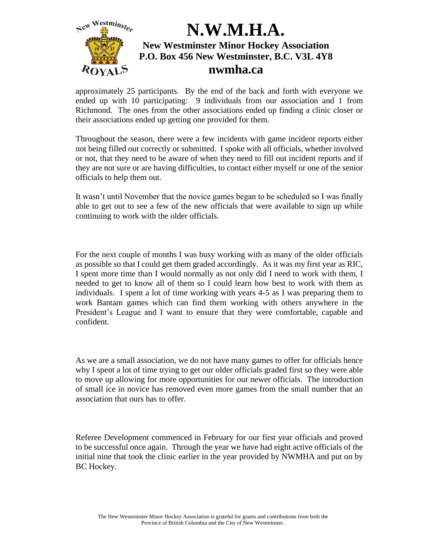

approximately 25 participants. By the end of the back and forth with everyone we ended up with 10 participating: 9 individuals from our association and 1 from Richmond. The ones from the other associations ended up finding a clinic closer or their associations ended up getting one provided for them.

Throughout the season, there were a few incidents with game incident reports either not being filled out correctly or submitted. I spoke with all officials, whether involved or not, that they need to be aware of when they need to fill out incident reports and if they are not sure or are having difficulties, to contact either myself or one of the senior officials to help them out.

It wasn't until November that the novice games began to be scheduled so I was finally able to get out to see a few of the new officials that were available to sign up while continuing to work with the older officials.

For the next couple of months I was busy working with as many of the older officials as possible so that I could get them graded accordingly. As it was my first year as RIC, I spent more time than I would normally as not only did I need to work with them, I needed to get to know all of them so I could learn how best to work with them as individuals. I spent a lot of time working with years 4-5 as I was preparing them to work Bantam games which can find them working with others anywhere in the President's League and I want to ensure that they were comfortable, capable and confident.

As we are a small association, we do not have many games to offer for officials hence why I spent a lot of time trying to get our older officials graded first so they were able to move up allowing for more opportunities for our newer officials. The introduction of small ice in novice has removed even more games from the small number that an association that ours has to offer.

Referee Development commenced in February for our first year officials and proved to be successful once again. Through the year we have had eight active officials of the initial nine that took the clinic earlier in the year provided by NWMHA and put on by BC Hockey.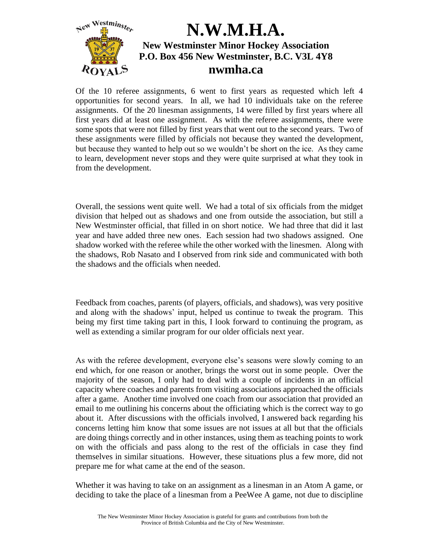

Of the 10 referee assignments, 6 went to first years as requested which left 4 opportunities for second years. In all, we had 10 individuals take on the referee assignments. Of the 20 linesman assignments, 14 were filled by first years where all first years did at least one assignment. As with the referee assignments, there were some spots that were not filled by first years that went out to the second years. Two of these assignments were filled by officials not because they wanted the development, but because they wanted to help out so we wouldn't be short on the ice. As they came to learn, development never stops and they were quite surprised at what they took in from the development.

Overall, the sessions went quite well. We had a total of six officials from the midget division that helped out as shadows and one from outside the association, but still a New Westminster official, that filled in on short notice. We had three that did it last year and have added three new ones. Each session had two shadows assigned. One shadow worked with the referee while the other worked with the linesmen. Along with the shadows, Rob Nasato and I observed from rink side and communicated with both the shadows and the officials when needed.

Feedback from coaches, parents (of players, officials, and shadows), was very positive and along with the shadows' input, helped us continue to tweak the program. This being my first time taking part in this, I look forward to continuing the program, as well as extending a similar program for our older officials next year.

As with the referee development, everyone else's seasons were slowly coming to an end which, for one reason or another, brings the worst out in some people. Over the majority of the season, I only had to deal with a couple of incidents in an official capacity where coaches and parents from visiting associations approached the officials after a game. Another time involved one coach from our association that provided an email to me outlining his concerns about the officiating which is the correct way to go about it. After discussions with the officials involved, I answered back regarding his concerns letting him know that some issues are not issues at all but that the officials are doing things correctly and in other instances, using them as teaching points to work on with the officials and pass along to the rest of the officials in case they find themselves in similar situations. However, these situations plus a few more, did not prepare me for what came at the end of the season.

Whether it was having to take on an assignment as a linesman in an Atom A game, or deciding to take the place of a linesman from a PeeWee A game, not due to discipline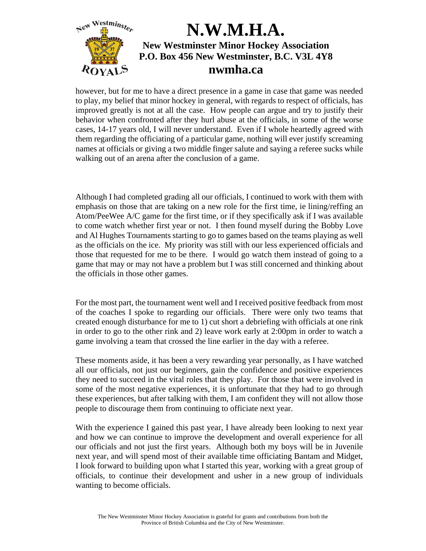

however, but for me to have a direct presence in a game in case that game was needed to play, my belief that minor hockey in general, with regards to respect of officials, has improved greatly is not at all the case. How people can argue and try to justify their behavior when confronted after they hurl abuse at the officials, in some of the worse cases, 14-17 years old, I will never understand. Even if I whole heartedly agreed with them regarding the officiating of a particular game, nothing will ever justify screaming names at officials or giving a two middle finger salute and saying a referee sucks while walking out of an arena after the conclusion of a game.

Although I had completed grading all our officials, I continued to work with them with emphasis on those that are taking on a new role for the first time, ie lining/reffing an Atom/PeeWee A/C game for the first time, or if they specifically ask if I was available to come watch whether first year or not. I then found myself during the Bobby Love and Al Hughes Tournaments starting to go to games based on the teams playing as well as the officials on the ice. My priority was still with our less experienced officials and those that requested for me to be there. I would go watch them instead of going to a game that may or may not have a problem but I was still concerned and thinking about the officials in those other games.

For the most part, the tournament went well and I received positive feedback from most of the coaches I spoke to regarding our officials. There were only two teams that created enough disturbance for me to 1) cut short a debriefing with officials at one rink in order to go to the other rink and 2) leave work early at 2:00pm in order to watch a game involving a team that crossed the line earlier in the day with a referee.

These moments aside, it has been a very rewarding year personally, as I have watched all our officials, not just our beginners, gain the confidence and positive experiences they need to succeed in the vital roles that they play. For those that were involved in some of the most negative experiences, it is unfortunate that they had to go through these experiences, but after talking with them, I am confident they will not allow those people to discourage them from continuing to officiate next year.

With the experience I gained this past year, I have already been looking to next year and how we can continue to improve the development and overall experience for all our officials and not just the first years. Although both my boys will be in Juvenile next year, and will spend most of their available time officiating Bantam and Midget, I look forward to building upon what I started this year, working with a great group of officials, to continue their development and usher in a new group of individuals wanting to become officials.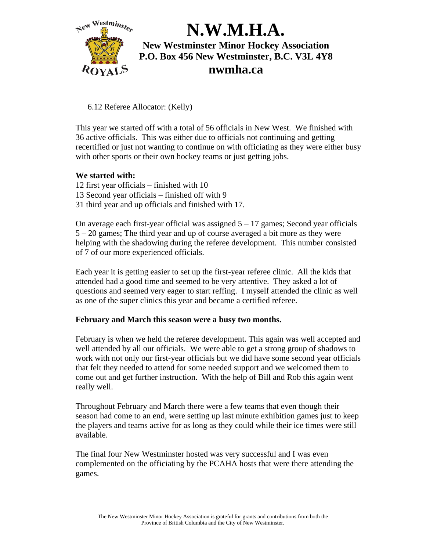

6.12 Referee Allocator: (Kelly)

This year we started off with a total of 56 officials in New West. We finished with 36 active officials. This was either due to officials not continuing and getting recertified or just not wanting to continue on with officiating as they were either busy with other sports or their own hockey teams or just getting jobs.

#### **We started with:**

- 12 first year officials finished with 10 13 Second year officials – finished off with 9
- 31 third year and up officials and finished with 17.

On average each first-year official was assigned  $5 - 17$  games; Second year officials 5 – 20 games; The third year and up of course averaged a bit more as they were helping with the shadowing during the referee development. This number consisted of 7 of our more experienced officials.

Each year it is getting easier to set up the first-year referee clinic. All the kids that attended had a good time and seemed to be very attentive. They asked a lot of questions and seemed very eager to start reffing. I myself attended the clinic as well as one of the super clinics this year and became a certified referee.

#### **February and March this season were a busy two months.**

February is when we held the referee development. This again was well accepted and well attended by all our officials. We were able to get a strong group of shadows to work with not only our first-year officials but we did have some second year officials that felt they needed to attend for some needed support and we welcomed them to come out and get further instruction. With the help of Bill and Rob this again went really well.

Throughout February and March there were a few teams that even though their season had come to an end, were setting up last minute exhibition games just to keep the players and teams active for as long as they could while their ice times were still available.

The final four New Westminster hosted was very successful and I was even complemented on the officiating by the PCAHA hosts that were there attending the games.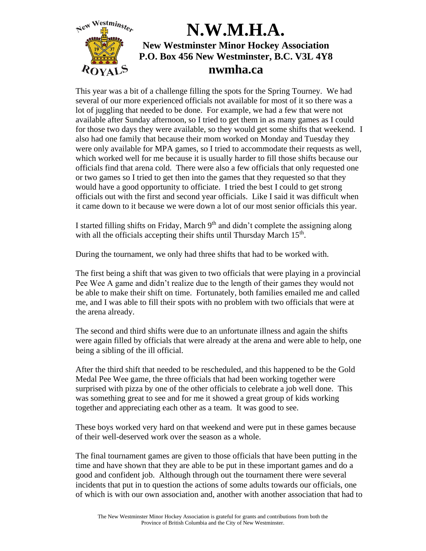

This year was a bit of a challenge filling the spots for the Spring Tourney. We had several of our more experienced officials not available for most of it so there was a lot of juggling that needed to be done. For example, we had a few that were not available after Sunday afternoon, so I tried to get them in as many games as I could for those two days they were available, so they would get some shifts that weekend. I also had one family that because their mom worked on Monday and Tuesday they were only available for MPA games, so I tried to accommodate their requests as well, which worked well for me because it is usually harder to fill those shifts because our officials find that arena cold. There were also a few officials that only requested one or two games so I tried to get then into the games that they requested so that they would have a good opportunity to officiate. I tried the best I could to get strong officials out with the first and second year officials. Like I said it was difficult when it came down to it because we were down a lot of our most senior officials this year.

I started filling shifts on Friday, March  $9<sup>th</sup>$  and didn't complete the assigning along with all the officials accepting their shifts until Thursday March  $15<sup>th</sup>$ .

During the tournament, we only had three shifts that had to be worked with.

The first being a shift that was given to two officials that were playing in a provincial Pee Wee A game and didn't realize due to the length of their games they would not be able to make their shift on time. Fortunately, both families emailed me and called me, and I was able to fill their spots with no problem with two officials that were at the arena already.

The second and third shifts were due to an unfortunate illness and again the shifts were again filled by officials that were already at the arena and were able to help, one being a sibling of the ill official.

After the third shift that needed to be rescheduled, and this happened to be the Gold Medal Pee Wee game, the three officials that had been working together were surprised with pizza by one of the other officials to celebrate a job well done. This was something great to see and for me it showed a great group of kids working together and appreciating each other as a team. It was good to see.

These boys worked very hard on that weekend and were put in these games because of their well-deserved work over the season as a whole.

The final tournament games are given to those officials that have been putting in the time and have shown that they are able to be put in these important games and do a good and confident job. Although through out the tournament there were several incidents that put in to question the actions of some adults towards our officials, one of which is with our own association and, another with another association that had to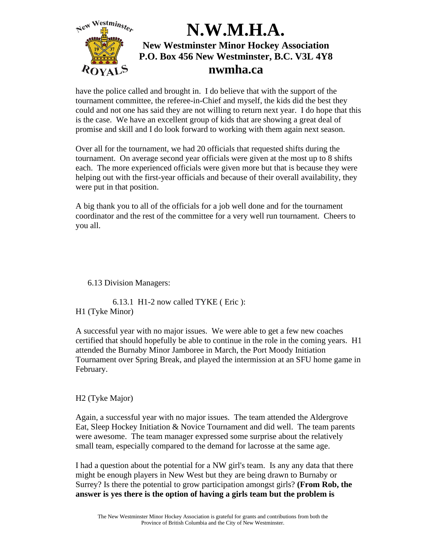

have the police called and brought in. I do believe that with the support of the tournament committee, the referee-in-Chief and myself, the kids did the best they could and not one has said they are not willing to return next year. I do hope that this is the case. We have an excellent group of kids that are showing a great deal of promise and skill and I do look forward to working with them again next season.

Over all for the tournament, we had 20 officials that requested shifts during the tournament. On average second year officials were given at the most up to 8 shifts each. The more experienced officials were given more but that is because they were helping out with the first-year officials and because of their overall availability, they were put in that position.

A big thank you to all of the officials for a job well done and for the tournament coordinator and the rest of the committee for a very well run tournament. Cheers to you all.

6.13 Division Managers:

6.13.1 H1-2 now called TYKE ( Eric ): H1 (Tyke Minor)

A successful year with no major issues. We were able to get a few new coaches certified that should hopefully be able to continue in the role in the coming years. H1 attended the Burnaby Minor Jamboree in March, the Port Moody Initiation Tournament over Spring Break, and played the intermission at an SFU home game in February.

H2 (Tyke Major)

Again, a successful year with no major issues. The team attended the Aldergrove Eat, Sleep Hockey Initiation & Novice Tournament and did well. The team parents were awesome. The team manager expressed some surprise about the relatively small team, especially compared to the demand for lacrosse at the same age.

I had a question about the potential for a NW girl's team. Is any any data that there might be enough players in New West but they are being drawn to Burnaby or Surrey? Is there the potential to grow participation amongst girls? **(From Rob, the answer is yes there is the option of having a girls team but the problem is**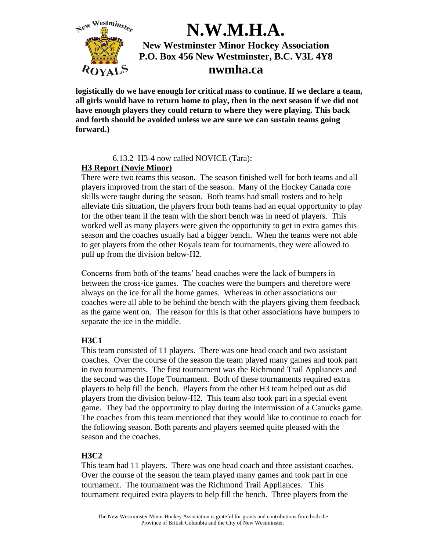

**logistically do we have enough for critical mass to continue. If we declare a team, all girls would have to return home to play, then in the next season if we did not have enough players they could return to where they were playing. This back and forth should be avoided unless we are sure we can sustain teams going forward.)**

### 6.13.2 H3-4 now called NOVICE (Tara):

### **H3 Report (Novie Minor)**

There were two teams this season. The season finished well for both teams and all players improved from the start of the season. Many of the Hockey Canada core skills were taught during the season. Both teams had small rosters and to help alleviate this situation, the players from both teams had an equal opportunity to play for the other team if the team with the short bench was in need of players. This worked well as many players were given the opportunity to get in extra games this season and the coaches usually had a bigger bench. When the teams were not able to get players from the other Royals team for tournaments, they were allowed to pull up from the division below-H2.

Concerns from both of the teams' head coaches were the lack of bumpers in between the cross-ice games. The coaches were the bumpers and therefore were always on the ice for all the home games. Whereas in other associations our coaches were all able to be behind the bench with the players giving them feedback as the game went on. The reason for this is that other associations have bumpers to separate the ice in the middle.

### **H3C1**

This team consisted of 11 players. There was one head coach and two assistant coaches. Over the course of the season the team played many games and took part in two tournaments. The first tournament was the Richmond Trail Appliances and the second was the Hope Tournament. Both of these tournaments required extra players to help fill the bench. Players from the other H3 team helped out as did players from the division below-H2. This team also took part in a special event game. They had the opportunity to play during the intermission of a Canucks game. The coaches from this team mentioned that they would like to continue to coach for the following season. Both parents and players seemed quite pleased with the season and the coaches.

### **H3C2**

This team had 11 players. There was one head coach and three assistant coaches. Over the course of the season the team played many games and took part in one tournament. The tournament was the Richmond Trail Appliances. This tournament required extra players to help fill the bench. Three players from the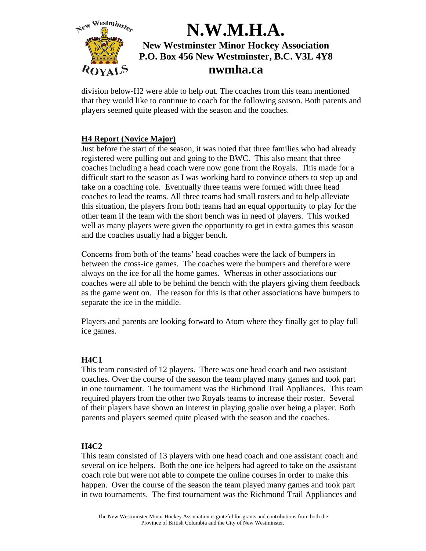

division below-H2 were able to help out. The coaches from this team mentioned that they would like to continue to coach for the following season. Both parents and players seemed quite pleased with the season and the coaches.

### **H4 Report (Novice Major)**

Just before the start of the season, it was noted that three families who had already registered were pulling out and going to the BWC. This also meant that three coaches including a head coach were now gone from the Royals. This made for a difficult start to the season as I was working hard to convince others to step up and take on a coaching role. Eventually three teams were formed with three head coaches to lead the teams. All three teams had small rosters and to help alleviate this situation, the players from both teams had an equal opportunity to play for the other team if the team with the short bench was in need of players. This worked well as many players were given the opportunity to get in extra games this season and the coaches usually had a bigger bench.

Concerns from both of the teams' head coaches were the lack of bumpers in between the cross-ice games. The coaches were the bumpers and therefore were always on the ice for all the home games. Whereas in other associations our coaches were all able to be behind the bench with the players giving them feedback as the game went on. The reason for this is that other associations have bumpers to separate the ice in the middle.

Players and parents are looking forward to Atom where they finally get to play full ice games.

### **H4C1**

This team consisted of 12 players. There was one head coach and two assistant coaches. Over the course of the season the team played many games and took part in one tournament. The tournament was the Richmond Trail Appliances. This team required players from the other two Royals teams to increase their roster. Several of their players have shown an interest in playing goalie over being a player. Both parents and players seemed quite pleased with the season and the coaches.

#### **H4C2**

This team consisted of 13 players with one head coach and one assistant coach and several on ice helpers. Both the one ice helpers had agreed to take on the assistant coach role but were not able to compete the online courses in order to make this happen. Over the course of the season the team played many games and took part in two tournaments. The first tournament was the Richmond Trail Appliances and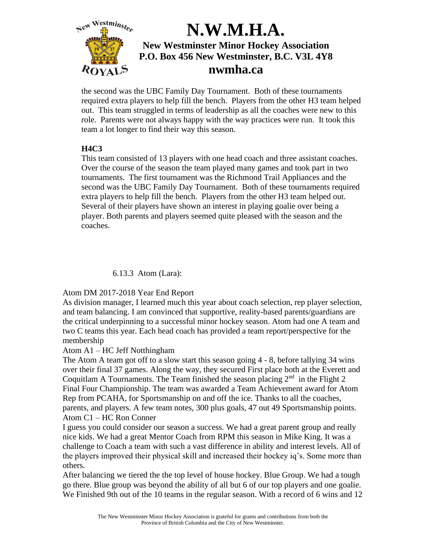

the second was the UBC Family Day Tournament. Both of these tournaments required extra players to help fill the bench. Players from the other H3 team helped out. This team struggled in terms of leadership as all the coaches were new to this role. Parents were not always happy with the way practices were run. It took this team a lot longer to find their way this season.

### **H4C3**

This team consisted of 13 players with one head coach and three assistant coaches. Over the course of the season the team played many games and took part in two tournaments. The first tournament was the Richmond Trail Appliances and the second was the UBC Family Day Tournament. Both of these tournaments required extra players to help fill the bench. Players from the other H3 team helped out. Several of their players have shown an interest in playing goalie over being a player. Both parents and players seemed quite pleased with the season and the coaches.

6.13.3 Atom (Lara):

Atom DM 2017-2018 Year End Report

As division manager, I learned much this year about coach selection, rep player selection, and team balancing. I am convinced that supportive, reality-based parents/guardians are the critical underpinning to a successful minor hockey season. Atom had one A team and two C teams this year. Each head coach has provided a team report/perspective for the membership

### Atom A1 – HC Jeff Notthingham

The Atom A team got off to a slow start this season going 4 - 8, before tallying 34 wins over their final 37 games. Along the way, they secured First place both at the Everett and Coquitlam A Tournaments. The Team finished the season placing  $2<sup>nd</sup>$  in the Flight 2 Final Four Championship. The team was awarded a Team Achievement award for Atom Rep from PCAHA, for Sportsmanship on and off the ice. Thanks to all the coaches, parents, and players. A few team notes, 300 plus goals, 47 out 49 Sportsmanship points. Atom C1 – HC Ron Conner

I guess you could consider our season a success. We had a great parent group and really nice kids. We had a great Mentor Coach from RPM this season in Mike King. It was a challenge to Coach a team with such a vast difference in ability and interest levels. All of the players improved their physical skill and increased their hockey iq's. Some more than others.

After balancing we tiered the the top level of house hockey. Blue Group. We had a tough go there. Blue group was beyond the ability of all but 6 of our top players and one goalie. We Finished 9th out of the 10 teams in the regular season. With a record of 6 wins and 12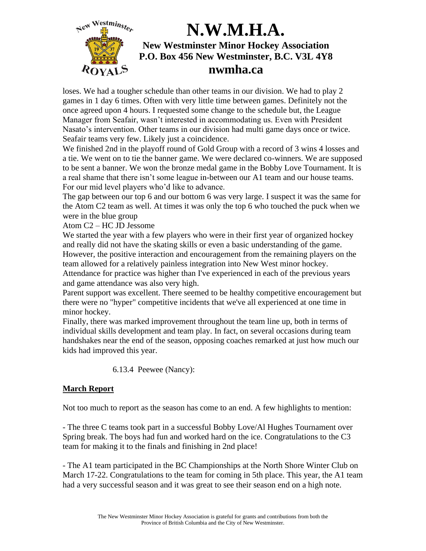

loses. We had a tougher schedule than other teams in our division. We had to play 2 games in 1 day 6 times. Often with very little time between games. Definitely not the once agreed upon 4 hours. I requested some change to the schedule but, the League Manager from Seafair, wasn't interested in accommodating us. Even with President Nasato's intervention. Other teams in our division had multi game days once or twice. Seafair teams very few. Likely just a coincidence.

We finished 2nd in the playoff round of Gold Group with a record of 3 wins 4 losses and a tie. We went on to tie the banner game. We were declared co-winners. We are supposed to be sent a banner. We won the bronze medal game in the Bobby Love Tournament. It is a real shame that there isn't some league in-between our A1 team and our house teams. For our mid level players who'd like to advance.

The gap between our top 6 and our bottom 6 was very large. I suspect it was the same for the Atom C2 team as well. At times it was only the top 6 who touched the puck when we were in the blue group

Atom C2 – HC JD Jessome

We started the year with a few players who were in their first year of organized hockey and really did not have the skating skills or even a basic understanding of the game. However, the positive interaction and encouragement from the remaining players on the team allowed for a relatively painless integration into New West minor hockey. Attendance for practice was higher than I've experienced in each of the previous years and game attendance was also very high.

Parent support was excellent. There seemed to be healthy competitive encouragement but there were no "hyper" competitive incidents that we've all experienced at one time in minor hockey.

Finally, there was marked improvement throughout the team line up, both in terms of individual skills development and team play. In fact, on several occasions during team handshakes near the end of the season, opposing coaches remarked at just how much our kids had improved this year.

6.13.4 Peewee (Nancy):

### **March Report**

Not too much to report as the season has come to an end. A few highlights to mention:

- The three C teams took part in a successful Bobby Love/Al Hughes Tournament over Spring break. The boys had fun and worked hard on the ice. Congratulations to the C3 team for making it to the finals and finishing in 2nd place!

- The A1 team participated in the BC Championships at the North Shore Winter Club on March 17-22. Congratulations to the team for coming in 5th place. This year, the A1 team had a very successful season and it was great to see their season end on a high note.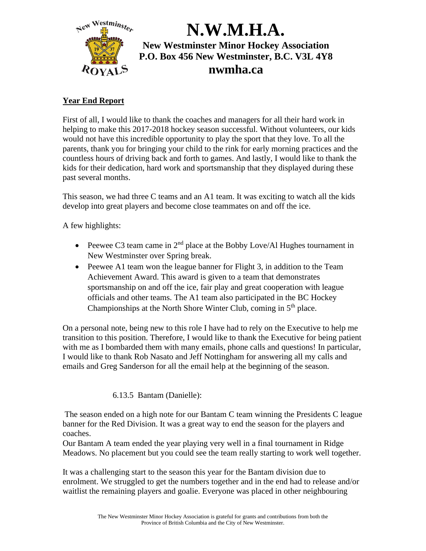

### **Year End Report**

First of all, I would like to thank the coaches and managers for all their hard work in helping to make this 2017-2018 hockey season successful. Without volunteers, our kids would not have this incredible opportunity to play the sport that they love. To all the parents, thank you for bringing your child to the rink for early morning practices and the countless hours of driving back and forth to games. And lastly, I would like to thank the kids for their dedication, hard work and sportsmanship that they displayed during these past several months.

This season, we had three C teams and an A1 team. It was exciting to watch all the kids develop into great players and become close teammates on and off the ice.

A few highlights:

- Peewee C3 team came in  $2<sup>nd</sup>$  place at the Bobby Love/Al Hughes tournament in New Westminster over Spring break.
- Peewee A1 team won the league banner for Flight 3, in addition to the Team Achievement Award. This award is given to a team that demonstrates sportsmanship on and off the ice, fair play and great cooperation with league officials and other teams. The A1 team also participated in the BC Hockey Championships at the North Shore Winter Club, coming in  $5<sup>th</sup>$  place.

On a personal note, being new to this role I have had to rely on the Executive to help me transition to this position. Therefore, I would like to thank the Executive for being patient with me as I bombarded them with many emails, phone calls and questions! In particular, I would like to thank Rob Nasato and Jeff Nottingham for answering all my calls and emails and Greg Sanderson for all the email help at the beginning of the season.

### 6.13.5 Bantam (Danielle):

The season ended on a high note for our Bantam C team winning the Presidents C league banner for the Red Division. It was a great way to end the season for the players and coaches.

Our Bantam A team ended the year playing very well in a final tournament in Ridge Meadows. No placement but you could see the team really starting to work well together.

It was a challenging start to the season this year for the Bantam division due to enrolment. We struggled to get the numbers together and in the end had to release and/or waitlist the remaining players and goalie. Everyone was placed in other neighbouring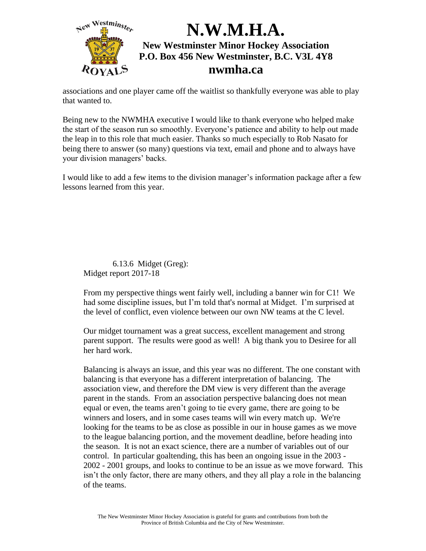

associations and one player came off the waitlist so thankfully everyone was able to play that wanted to.

Being new to the NWMHA executive I would like to thank everyone who helped make the start of the season run so smoothly. Everyone's patience and ability to help out made the leap in to this role that much easier. Thanks so much especially to Rob Nasato for being there to answer (so many) questions via text, email and phone and to always have your division managers' backs.

I would like to add a few items to the division manager's information package after a few lessons learned from this year.

6.13.6 Midget (Greg): Midget report 2017-18

From my perspective things went fairly well, including a banner win for C1! We had some discipline issues, but I'm told that's normal at Midget. I'm surprised at the level of conflict, even violence between our own NW teams at the C level.

Our midget tournament was a great success, excellent management and strong parent support. The results were good as well! A big thank you to Desiree for all her hard work.

Balancing is always an issue, and this year was no different. The one constant with balancing is that everyone has a different interpretation of balancing. The association view, and therefore the DM view is very different than the average parent in the stands. From an association perspective balancing does not mean equal or even, the teams aren't going to tie every game, there are going to be winners and losers, and in some cases teams will win every match up. We're looking for the teams to be as close as possible in our in house games as we move to the league balancing portion, and the movement deadline, before heading into the season. It is not an exact science, there are a number of variables out of our control. In particular goaltending, this has been an ongoing issue in the 2003 - 2002 - 2001 groups, and looks to continue to be an issue as we move forward. This isn't the only factor, there are many others, and they all play a role in the balancing of the teams.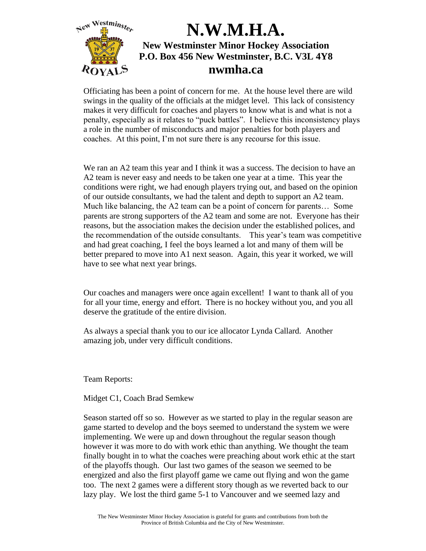

Officiating has been a point of concern for me. At the house level there are wild swings in the quality of the officials at the midget level. This lack of consistency makes it very difficult for coaches and players to know what is and what is not a penalty, especially as it relates to "puck battles". I believe this inconsistency plays a role in the number of misconducts and major penalties for both players and coaches. At this point, I'm not sure there is any recourse for this issue.

We ran an A2 team this year and I think it was a success. The decision to have an A2 team is never easy and needs to be taken one year at a time. This year the conditions were right, we had enough players trying out, and based on the opinion of our outside consultants, we had the talent and depth to support an A2 team. Much like balancing, the A2 team can be a point of concern for parents… Some parents are strong supporters of the A2 team and some are not. Everyone has their reasons, but the association makes the decision under the established polices, and the recommendation of the outside consultants. This year's team was competitive and had great coaching, I feel the boys learned a lot and many of them will be better prepared to move into A1 next season. Again, this year it worked, we will have to see what next year brings.

Our coaches and managers were once again excellent! I want to thank all of you for all your time, energy and effort. There is no hockey without you, and you all deserve the gratitude of the entire division.

As always a special thank you to our ice allocator Lynda Callard. Another amazing job, under very difficult conditions.

Team Reports:

Midget C1, Coach Brad Semkew

Season started off so so. However as we started to play in the regular season are game started to develop and the boys seemed to understand the system we were implementing. We were up and down throughout the regular season though however it was more to do with work ethic than anything. We thought the team finally bought in to what the coaches were preaching about work ethic at the start of the playoffs though. Our last two games of the season we seemed to be energized and also the first playoff game we came out flying and won the game too. The next 2 games were a different story though as we reverted back to our lazy play. We lost the third game 5-1 to Vancouver and we seemed lazy and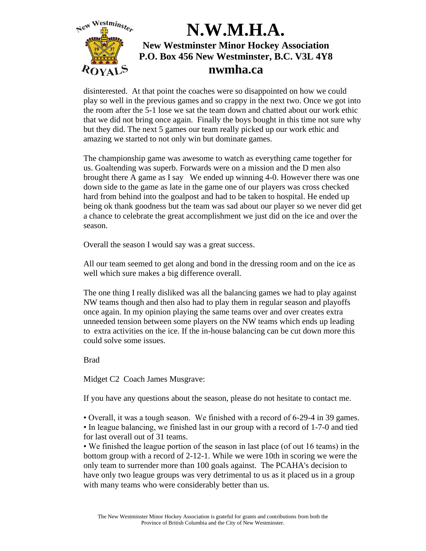

disinterested. At that point the coaches were so disappointed on how we could play so well in the previous games and so crappy in the next two. Once we got into the room after the 5-1 lose we sat the team down and chatted about our work ethic that we did not bring once again. Finally the boys bought in this time not sure why but they did. The next 5 games our team really picked up our work ethic and amazing we started to not only win but dominate games.

The championship game was awesome to watch as everything came together for us. Goaltending was superb. Forwards were on a mission and the D men also brought there A game as I say We ended up winning 4-0. However there was one down side to the game as late in the game one of our players was cross checked hard from behind into the goalpost and had to be taken to hospital. He ended up being ok thank goodness but the team was sad about our player so we never did get a chance to celebrate the great accomplishment we just did on the ice and over the season.

Overall the season I would say was a great success.

All our team seemed to get along and bond in the dressing room and on the ice as well which sure makes a big difference overall.

The one thing I really disliked was all the balancing games we had to play against NW teams though and then also had to play them in regular season and playoffs once again. In my opinion playing the same teams over and over creates extra unneeded tension between some players on the NW teams which ends up leading to extra activities on the ice. If the in-house balancing can be cut down more this could solve some issues.

Brad

Midget C2 Coach James Musgrave:

If you have any questions about the season, please do not hesitate to contact me.

• Overall, it was a tough season. We finished with a record of 6-29-4 in 39 games. • In league balancing, we finished last in our group with a record of 1-7-0 and tied for last overall out of 31 teams.

• We finished the league portion of the season in last place (of out 16 teams) in the bottom group with a record of 2-12-1. While we were 10th in scoring we were the only team to surrender more than 100 goals against. The PCAHA's decision to have only two league groups was very detrimental to us as it placed us in a group with many teams who were considerably better than us.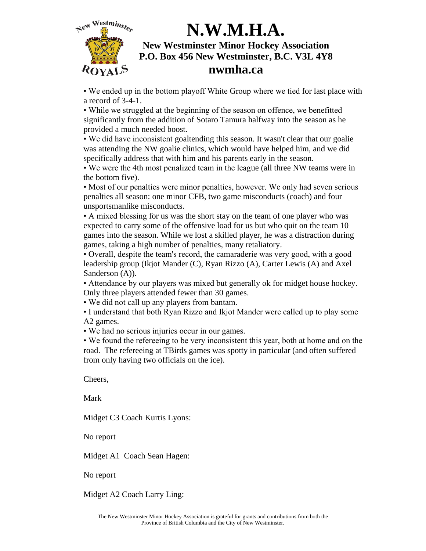

• We ended up in the bottom playoff White Group where we tied for last place with a record of 3-4-1.

• While we struggled at the beginning of the season on offence, we benefitted significantly from the addition of Sotaro Tamura halfway into the season as he provided a much needed boost.

• We did have inconsistent goaltending this season. It wasn't clear that our goalie was attending the NW goalie clinics, which would have helped him, and we did specifically address that with him and his parents early in the season.

• We were the 4th most penalized team in the league (all three NW teams were in the bottom five).

• Most of our penalties were minor penalties, however. We only had seven serious penalties all season: one minor CFB, two game misconducts (coach) and four unsportsmanlike misconducts.

• A mixed blessing for us was the short stay on the team of one player who was expected to carry some of the offensive load for us but who quit on the team 10 games into the season. While we lost a skilled player, he was a distraction during games, taking a high number of penalties, many retaliatory.

• Overall, despite the team's record, the camaraderie was very good, with a good leadership group (Ikjot Mander (C), Ryan Rizzo (A), Carter Lewis (A) and Axel Sanderson (A)).

• Attendance by our players was mixed but generally ok for midget house hockey. Only three players attended fewer than 30 games.

• We did not call up any players from bantam.

• I understand that both Ryan Rizzo and Ikjot Mander were called up to play some A2 games.

• We had no serious injuries occur in our games.

• We found the refereeing to be very inconsistent this year, both at home and on the road. The refereeing at TBirds games was spotty in particular (and often suffered from only having two officials on the ice).

Cheers,

Mark

Midget C3 Coach Kurtis Lyons:

No report

Midget A1 Coach Sean Hagen:

No report

Midget A2 Coach Larry Ling: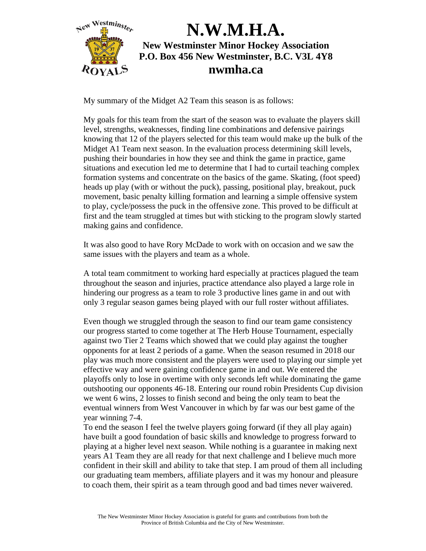

My summary of the Midget A2 Team this season is as follows:

My goals for this team from the start of the season was to evaluate the players skill level, strengths, weaknesses, finding line combinations and defensive pairings knowing that 12 of the players selected for this team would make up the bulk of the Midget A1 Team next season. In the evaluation process determining skill levels, pushing their boundaries in how they see and think the game in practice, game situations and execution led me to determine that I had to curtail teaching complex formation systems and concentrate on the basics of the game. Skating, (foot speed) heads up play (with or without the puck), passing, positional play, breakout, puck movement, basic penalty killing formation and learning a simple offensive system to play, cycle/possess the puck in the offensive zone. This proved to be difficult at first and the team struggled at times but with sticking to the program slowly started making gains and confidence.

It was also good to have Rory McDade to work with on occasion and we saw the same issues with the players and team as a whole.

A total team commitment to working hard especially at practices plagued the team throughout the season and injuries, practice attendance also played a large role in hindering our progress as a team to role 3 productive lines game in and out with only 3 regular season games being played with our full roster without affiliates.

Even though we struggled through the season to find our team game consistency our progress started to come together at The Herb House Tournament, especially against two Tier 2 Teams which showed that we could play against the tougher opponents for at least 2 periods of a game. When the season resumed in 2018 our play was much more consistent and the players were used to playing our simple yet effective way and were gaining confidence game in and out. We entered the playoffs only to lose in overtime with only seconds left while dominating the game outshooting our opponents 46-18. Entering our round robin Presidents Cup division we went 6 wins, 2 losses to finish second and being the only team to beat the eventual winners from West Vancouver in which by far was our best game of the year winning 7-4.

To end the season I feel the twelve players going forward (if they all play again) have built a good foundation of basic skills and knowledge to progress forward to playing at a higher level next season. While nothing is a guarantee in making next years A1 Team they are all ready for that next challenge and I believe much more confident in their skill and ability to take that step. I am proud of them all including our graduating team members, affiliate players and it was my honour and pleasure to coach them, their spirit as a team through good and bad times never waivered.